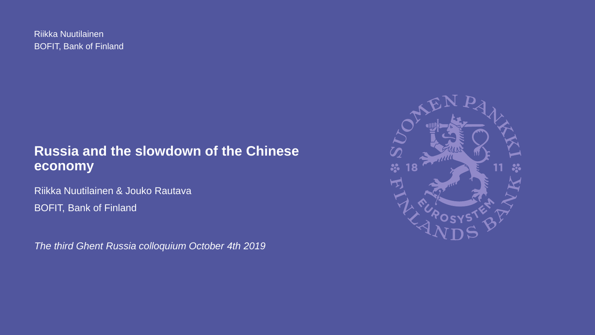BOFIT, Bank of Finland Riikka Nuutilainen

### **Russia and the slowdown of the Chinese economy**

Riikka Nuutilainen & Jouko Rautava BOFIT, Bank of Finland

*The third Ghent Russia colloquium October 4th 2019*

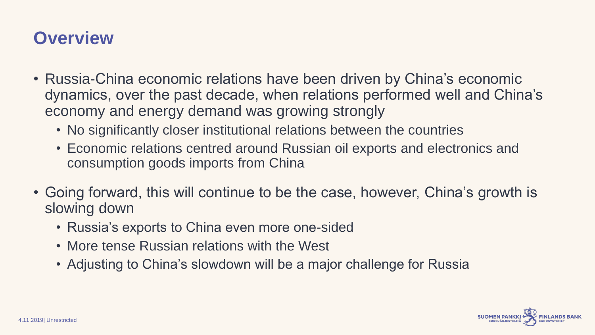# **Overview**

- Russia-China economic relations have been driven by China's economic dynamics, over the past decade, when relations performed well and China's economy and energy demand was growing strongly
	- No significantly closer institutional relations between the countries
	- Economic relations centred around Russian oil exports and electronics and consumption goods imports from China
- Going forward, this will continue to be the case, however, China's growth is slowing down
	- Russia's exports to China even more one-sided
	- More tense Russian relations with the West
	- Adjusting to China's slowdown will be a major challenge for Russia

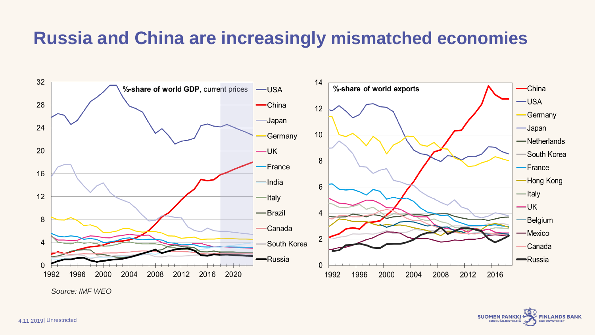### **Russia and China are increasingly mismatched economies**



*Source: IMF WEO*

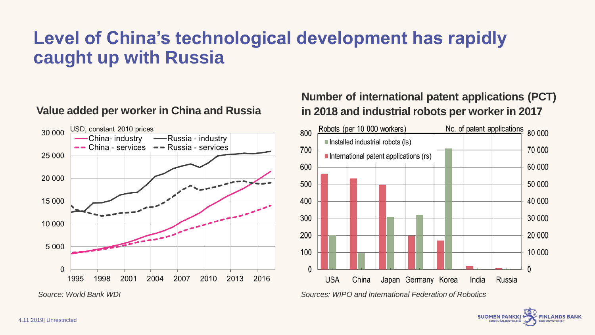# **Level of China's technological development has rapidly caught up with Russia**

### **Value added per worker in China and Russia**



### **Number of international patent applications (PCT) in 2018 and industrial robots per worker in 2017**



**FINLANDS BANK** 

**SUOMEN PANKKI EUROJÄRJESTELM**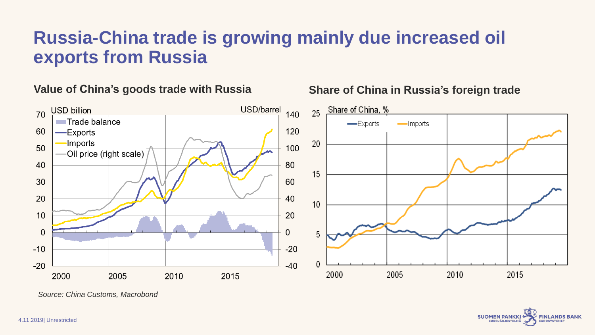### **Russia-China trade is growing mainly due increased oil exports from Russia**

**Value of China's goods trade with Russia**





*Source: China Customs, Macrobond*

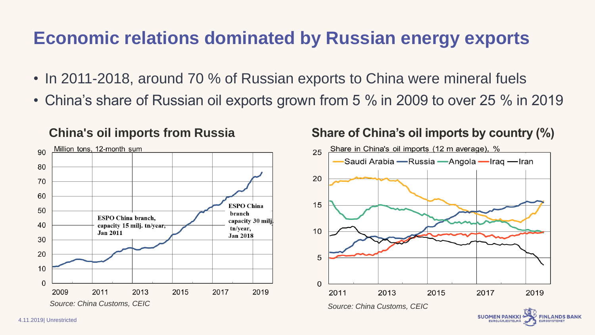### **Economic relations dominated by Russian energy exports**

- In 2011-2018, around 70 % of Russian exports to China were mineral fuels
- China's share of Russian oil exports grown from 5 % in 2009 to over 25 % in 2019



### **China's oil imports from Russia Share of China's oil imports by country (%)**



**EUROJÄRJESTELM.**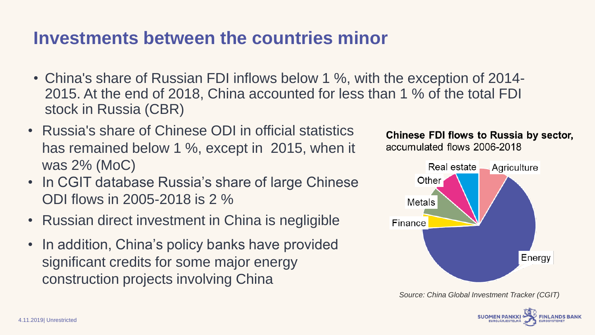### **Investments between the countries minor**

- China's share of Russian FDI inflows below 1 %, with the exception of 2014- 2015. At the end of 2018, China accounted for less than 1 % of the total FDI stock in Russia (CBR)
- Russia's share of Chinese ODI in official statistics has remained below 1 %, except in 2015, when it was 2% (MoC)
- In CGIT database Russia's share of large Chinese ODI flows in 2005-2018 is 2 %
- Russian direct investment in China is negligible
- In addition, China's policy banks have provided significant credits for some major energy construction projects involving China

### Chinese FDI flows to Russia by sector, accumulated flows 2006-2018



*Source: China Global Investment Tracker (CGIT)*

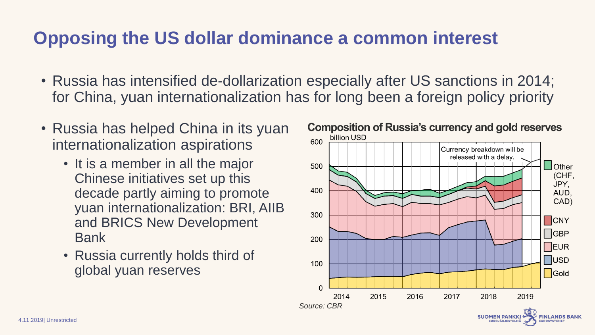# **Opposing the US dollar dominance a common interest**

- Russia has intensified de-dollarization especially after US sanctions in 2014; for China, yuan internationalization has for long been a foreign policy priority
- Russia has helped China in its yuan internationalization aspirations
	- It is a member in all the major Chinese initiatives set up this decade partly aiming to promote yuan internationalization: BRI, AIIB and BRICS New Development Bank
	- Russia currently holds third of global yuan reserves

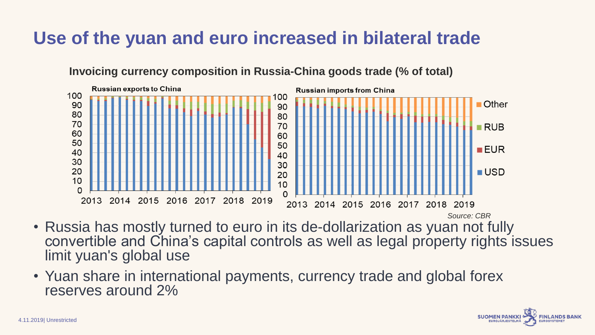# **Use of the yuan and euro increased in bilateral trade**

**Invoicing currency composition in Russia-China goods trade (% of total)**



- Russia has mostly turned to euro in its de-dollarization as yuan not fully convertible and China's capital controls as well as legal property rights issues limit yuan's global use *Source: CBR*
- Yuan share in international payments, currency trade and global forex reserves around 2%

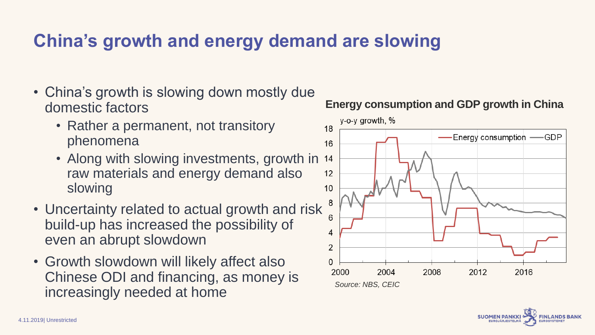# **China's growth and energy demand are slowing**

- China's growth is slowing down mostly due domestic factors
	- Rather a permanent, not transitory phenomena
	- Along with slowing investments, growth in 14 raw materials and energy demand also slowing
- Uncertainty related to actual growth and risk build-up has increased the possibility of even an abrupt slowdown
- Growth slowdown will likely affect also Chinese ODI and financing, as money is increasingly needed at home



### **Energy consumption and GDP growth in China**

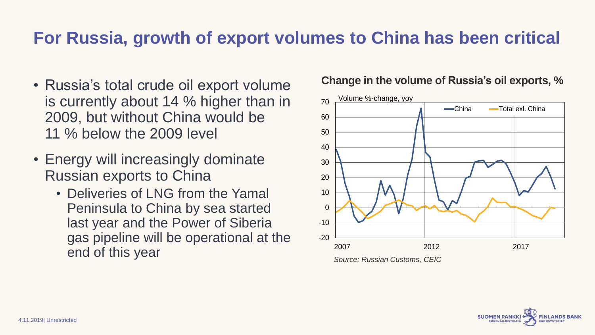### **For Russia, growth of export volumes to China has been critical**

- Russia's total crude oil export volume is currently about 14 % higher than in 2009, but without China would be 11 % below the 2009 level
- Energy will increasingly dominate Russian exports to China
	- Deliveries of LNG from the Yamal Peninsula to China by sea started last year and the Power of Siberia gas pipeline will be operational at the end of this year

### **Change in the volume of Russia's oil exports, %**



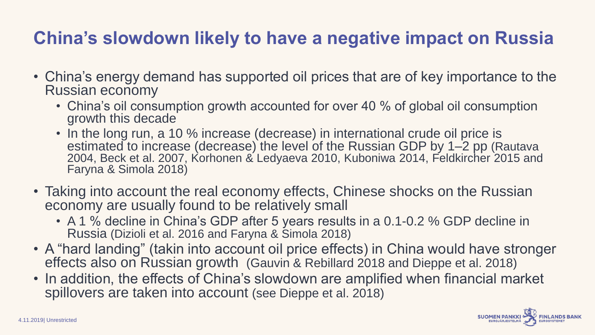# **China's slowdown likely to have a negative impact on Russia**

- China's energy demand has supported oil prices that are of key importance to the Russian economy
	- China's oil consumption growth accounted for over 40 % of global oil consumption growth this decade
	- In the long run, a 10 % increase (decrease) in international crude oil price is estimated to increase (decrease) the level of the Russian GDP by 1–2 pp (Rautava 2004, Beck et al. 2007, Korhonen & Ledyaeva 2010, Kuboniwa 2014, Feldkircher 2015 and Faryna & Simola 2018)
- Taking into account the real economy effects, Chinese shocks on the Russian economy are usually found to be relatively small
	- A 1 % decline in China's GDP after 5 years results in a 0.1-0.2 % GDP decline in Russia (Dizioli et al. 2016 and Faryna & Simola 2018)
- A "hard landing" (takin into account oil price effects) in China would have stronger effects also on Russian growth (Gauvin & Rebillard 2018 and Dieppe et al. 2018)
- In addition, the effects of China's slowdown are amplified when financial market spillovers are taken into account (see Dieppe et al. 2018)

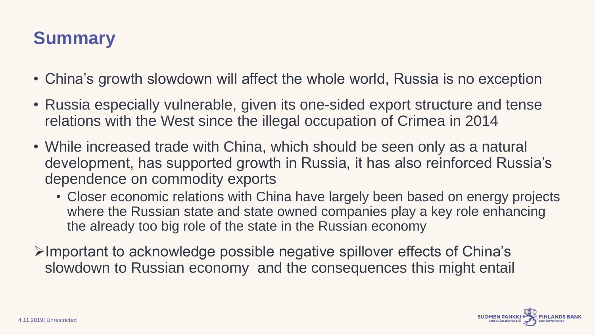# **Summary**

- China's growth slowdown will affect the whole world, Russia is no exception
- Russia especially vulnerable, given its one-sided export structure and tense relations with the West since the illegal occupation of Crimea in 2014
- While increased trade with China, which should be seen only as a natural development, has supported growth in Russia, it has also reinforced Russia's dependence on commodity exports
	- Closer economic relations with China have largely been based on energy projects where the Russian state and state owned companies play a key role enhancing the already too big role of the state in the Russian economy
- ➢Important to acknowledge possible negative spillover effects of China's slowdown to Russian economy and the consequences this might entail